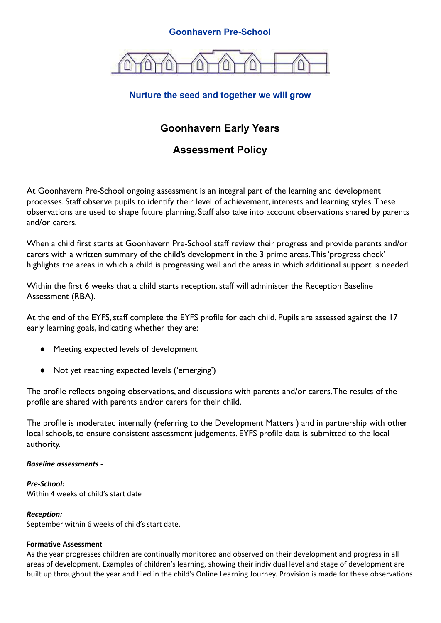# **Goonhavern Pre-School**



# **Nurture the seed and together we will grow**

# **Goonhavern Early Years**

# **Assessment Policy**

At Goonhavern Pre-School ongoing assessment is an integral part of the learning and development processes. Staff observe pupils to identify their level of achievement, interests and learning styles.These observations are used to shape future planning. Staff also take into account observations shared by parents and/or carers.

When a child first starts at Goonhavern Pre-School staff review their progress and provide parents and/or carers with a written summary of the child's development in the 3 prime areas.This 'progress check' highlights the areas in which a child is progressing well and the areas in which additional support is needed.

Within the first 6 weeks that a child starts reception, staff will administer the Reception Baseline Assessment (RBA).

At the end of the EYFS, staff complete the EYFS profile for each child. Pupils are assessed against the 17 early learning goals, indicating whether they are:

- Meeting expected levels of development
- Not yet reaching expected levels ('emerging')

The profile reflects ongoing observations, and discussions with parents and/or carers.The results of the profile are shared with parents and/or carers for their child.

The profile is moderated internally (referring to the Development Matters ) and in partnership with other local schools, to ensure consistent assessment judgements. EYFS profile data is submitted to the local authority.

## *Baseline assessments -*

*Pre-School:* Within 4 weeks of child's start date

#### *Reception:*

September within 6 weeks of child's start date.

## **Formative Assessment**

As the year progresses children are continually monitored and observed on their development and progress in all areas of development. Examples of children's learning, showing their individual level and stage of development are built up throughout the year and filed in the child's Online Learning Journey. Provision is made for these observations